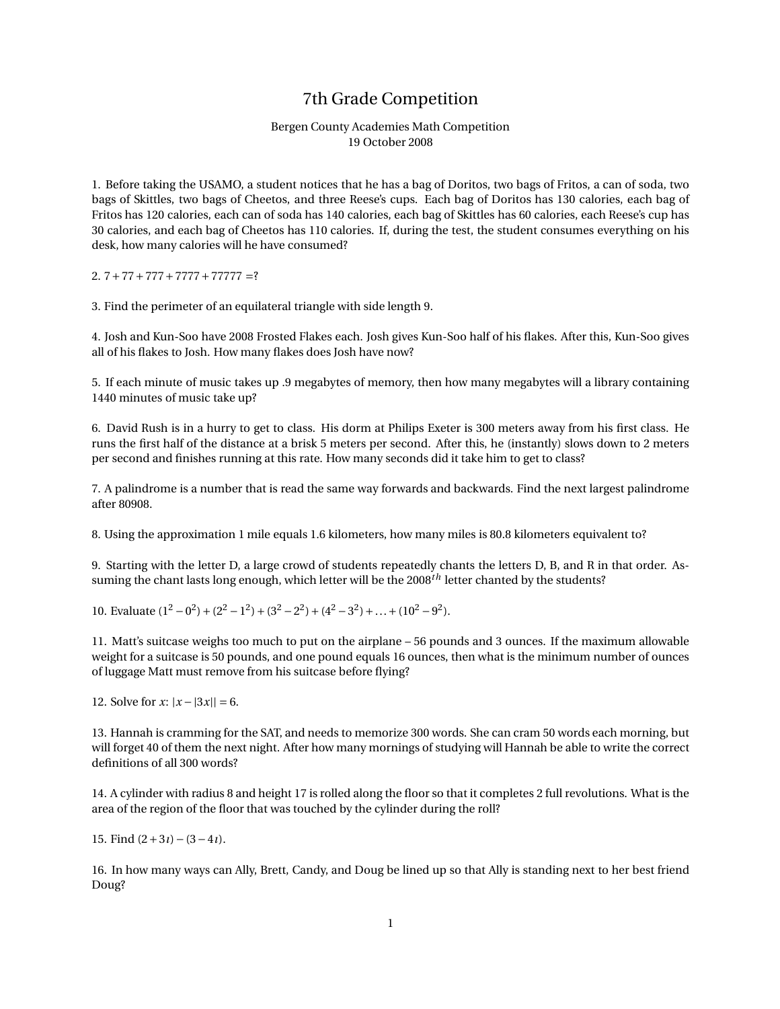## 7th Grade Competition

## Bergen County Academies Math Competition 19 October 2008

1. Before taking the USAMO, a student notices that he has a bag of Doritos, two bags of Fritos, a can of soda, two bags of Skittles, two bags of Cheetos, and three Reese's cups. Each bag of Doritos has 130 calories, each bag of Fritos has 120 calories, each can of soda has 140 calories, each bag of Skittles has 60 calories, each Reese's cup has 30 calories, and each bag of Cheetos has 110 calories. If, during the test, the student consumes everything on his desk, how many calories will he have consumed?

## 2.  $7+77+777+7777+77777 = ?$

3. Find the perimeter of an equilateral triangle with side length 9.

4. Josh and Kun-Soo have 2008 Frosted Flakes each. Josh gives Kun-Soo half of his flakes. After this, Kun-Soo gives all of his flakes to Josh. How many flakes does Josh have now?

5. If each minute of music takes up .9 megabytes of memory, then how many megabytes will a library containing 1440 minutes of music take up?

6. David Rush is in a hurry to get to class. His dorm at Philips Exeter is 300 meters away from his first class. He runs the first half of the distance at a brisk 5 meters per second. After this, he (instantly) slows down to 2 meters per second and finishes running at this rate. How many seconds did it take him to get to class?

7. A palindrome is a number that is read the same way forwards and backwards. Find the next largest palindrome after 80908.

8. Using the approximation 1 mile equals 1.6 kilometers, how many miles is 80.8 kilometers equivalent to?

9. Starting with the letter D, a large crowd of students repeatedly chants the letters D, B, and R in that order. Assuming the chant lasts long enough, which letter will be the 2008*th* letter chanted by the students?

10. Evaluate  $(1^2 - 0^2) + (2^2 - 1^2) + (3^2 - 2^2) + (4^2 - 3^2) + ... + (10^2 - 9^2)$ .

11. Matt's suitcase weighs too much to put on the airplane – 56 pounds and 3 ounces. If the maximum allowable weight for a suitcase is 50 pounds, and one pound equals 16 ounces, then what is the minimum number of ounces of luggage Matt must remove from his suitcase before flying?

12. Solve for *x*:  $|x - 3x|| = 6$ .

13. Hannah is cramming for the SAT, and needs to memorize 300 words. She can cram 50 words each morning, but will forget 40 of them the next night. After how many mornings of studying will Hannah be able to write the correct definitions of all 300 words?

14. A cylinder with radius 8 and height 17 is rolled along the floor so that it completes 2 full revolutions. What is the area of the region of the floor that was touched by the cylinder during the roll?

15. Find (2+3*ı*)−(3−4*ı*).

16. In how many ways can Ally, Brett, Candy, and Doug be lined up so that Ally is standing next to her best friend Doug?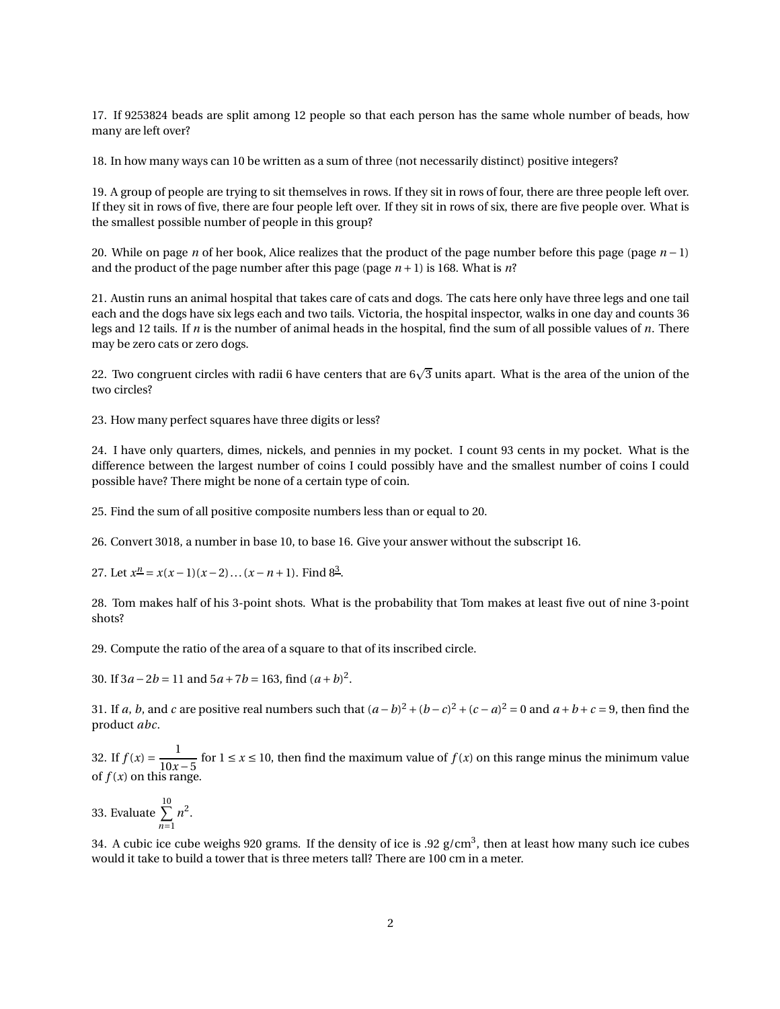17. If 9253824 beads are split among 12 people so that each person has the same whole number of beads, how many are left over?

18. In how many ways can 10 be written as a sum of three (not necessarily distinct) positive integers?

19. A group of people are trying to sit themselves in rows. If they sit in rows of four, there are three people left over. If they sit in rows of five, there are four people left over. If they sit in rows of six, there are five people over. What is the smallest possible number of people in this group?

20. While on page *n* of her book, Alice realizes that the product of the page number before this page (page *n* − 1) and the product of the page number after this page (page  $n+1$ ) is 168. What is  $n$ ?

21. Austin runs an animal hospital that takes care of cats and dogs. The cats here only have three legs and one tail each and the dogs have six legs each and two tails. Victoria, the hospital inspector, walks in one day and counts 36 legs and 12 tails. If *n* is the number of animal heads in the hospital, find the sum of all possible values of *n*. There may be zero cats or zero dogs.

22. Two congruent circles with radii 6 have centers that are  $6\sqrt{3}$  units apart. What is the area of the union of the two circles?

23. How many perfect squares have three digits or less?

24. I have only quarters, dimes, nickels, and pennies in my pocket. I count 93 cents in my pocket. What is the difference between the largest number of coins I could possibly have and the smallest number of coins I could possible have? There might be none of a certain type of coin.

25. Find the sum of all positive composite numbers less than or equal to 20.

26. Convert 3018, a number in base 10, to base 16. Give your answer without the subscript 16.

27. Let  $x^{\underline{n}} = x(x-1)(x-2)...(x-n+1)$ . Find  $8^{\underline{3}}$ .

28. Tom makes half of his 3-point shots. What is the probability that Tom makes at least five out of nine 3-point shots?

29. Compute the ratio of the area of a square to that of its inscribed circle.

30. If  $3a - 2b = 11$  and  $5a + 7b = 163$ , find  $(a + b)^2$ .

31. If *a*, *b*, and *c* are positive real numbers such that  $(a - b)^2 + (b - c)^2 + (c - a)^2 = 0$  and  $a + b + c = 9$ , then find the product *abc*.

32. If  $f(x) = \frac{1}{10x}$ 10*x* −5 for 1 ≤ *x* ≤ 10, then find the maximum value of *f* (*x*) on this range minus the minimum value of  $f(x)$  on this range.

33. Evaluate  $\sum^{10}$ *n*=1  $n^2$ .

34. A cubic ice cube weighs 920 grams. If the density of ice is .92 g/cm $^3$ , then at least how many such ice cubes would it take to build a tower that is three meters tall? There are 100 cm in a meter.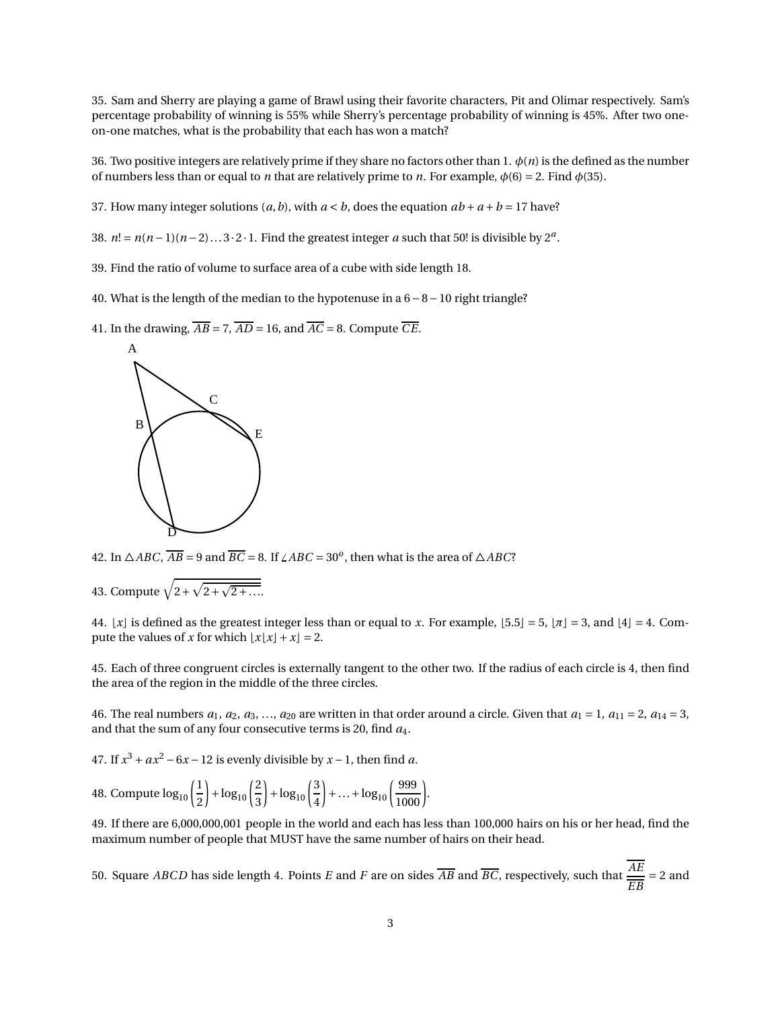35. Sam and Sherry are playing a game of Brawl using their favorite characters, Pit and Olimar respectively. Sam's percentage probability of winning is 55% while Sherry's percentage probability of winning is 45%. After two oneon-one matches, what is the probability that each has won a match?

36. Two positive integers are relatively prime if they share no factors other than 1. *φ*(*n*) is the defined as the number of numbers less than or equal to *n* that are relatively prime to *n*. For example,  $\phi(6) = 2$ . Find  $\phi(35)$ .

37. How many integer solutions  $(a, b)$ , with  $a < b$ , does the equation  $ab + a + b = 17$  have?

38.  $n! = n(n-1)(n-2)...3 \cdot 2 \cdot 1$ . Find the greatest integer *a* such that 50! is divisible by  $2^a$ .

- 39. Find the ratio of volume to surface area of a cube with side length 18.
- 40. What is the length of the median to the hypotenuse in a 6−8−10 right triangle?
- 41. In the drawing,  $\overline{AB} = 7$ ,  $\overline{AD} = 16$ , and  $\overline{AC} = 8$ . Compute  $\overline{CE}$ .



42. In  $\triangle ABC$ ,  $\overline{AB}$  = 9 and  $\overline{BC}$  = 8. If  $\angle ABC$  = 30<sup>*o*</sup>, then what is the area of  $\triangle ABC$ ?

43. Compute  $\sqrt{2+\sqrt{2+\sqrt{2+\ldots}}}}$ 

44.  $\lfloor x \rfloor$  is defined as the greatest integer less than or equal to *x*. For example,  $\lfloor 5.5 \rfloor = 5$ ,  $\lfloor \pi \rfloor = 3$ , and  $\lfloor 4 \rfloor = 4$ . Compute the values of *x* for which  $\lfloor x \rfloor x \rfloor + x \rfloor = 2$ .

45. Each of three congruent circles is externally tangent to the other two. If the radius of each circle is 4, then find the area of the region in the middle of the three circles.

46. The real numbers  $a_1, a_2, a_3, \ldots, a_{20}$  are written in that order around a circle. Given that  $a_1 = 1, a_{11} = 2, a_{14} = 3$ , and that the sum of any four consecutive terms is 20, find *a*4.

47. If  $x^3 + ax^2 - 6x - 12$  is evenly divisible by  $x - 1$ , then find *a*.

48. Compute 
$$
\log_{10}\left(\frac{1}{2}\right) + \log_{10}\left(\frac{2}{3}\right) + \log_{10}\left(\frac{3}{4}\right) + ... + \log_{10}\left(\frac{999}{1000}\right)
$$
.

49. If there are 6,000,000,001 people in the world and each has less than 100,000 hairs on his or her head, find the maximum number of people that MUST have the same number of hairs on their head.

50. Square *ABCD* has side length 4. Points *<sup>E</sup>* and *<sup>F</sup>* are on sides *AB* and *BC*, respectively, such that *AE*  $\frac{1}{EB}$  = 2 and